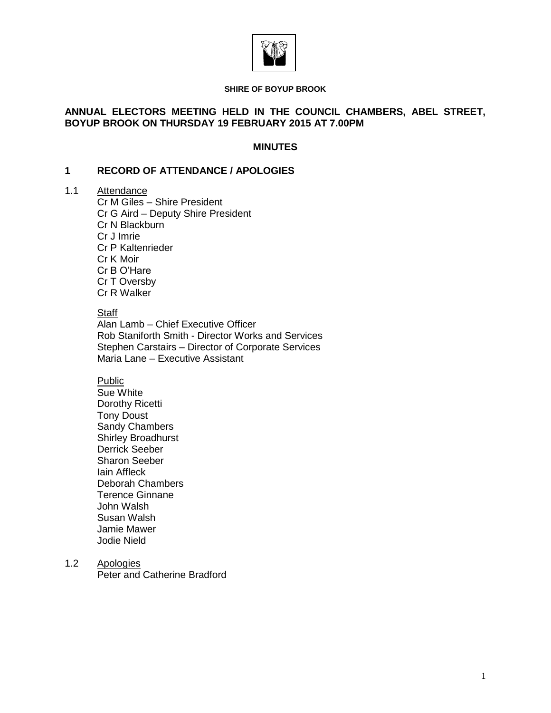

#### **SHIRE OF BOYUP BROOK**

## **ANNUAL ELECTORS MEETING HELD IN THE COUNCIL CHAMBERS, ABEL STREET, BOYUP BROOK ON THURSDAY 19 FEBRUARY 2015 AT 7.00PM**

#### **MINUTES**

#### **1 RECORD OF ATTENDANCE / APOLOGIES**

# 1.1 Attendance

Cr M Giles – Shire President Cr G Aird – Deputy Shire President Cr N Blackburn Cr J Imrie Cr P Kaltenrieder Cr K Moir Cr B O'Hare Cr T Oversby Cr R Walker

# **Staff**

Alan Lamb – Chief Executive Officer Rob Staniforth Smith - Director Works and Services Stephen Carstairs – Director of Corporate Services Maria Lane – Executive Assistant

# Public

Sue White Dorothy Ricetti Tony Doust Sandy Chambers Shirley Broadhurst Derrick Seeber Sharon Seeber Iain Affleck Deborah Chambers Terence Ginnane John Walsh Susan Walsh Jamie Mawer Jodie Nield

1.2 Apologies

Peter and Catherine Bradford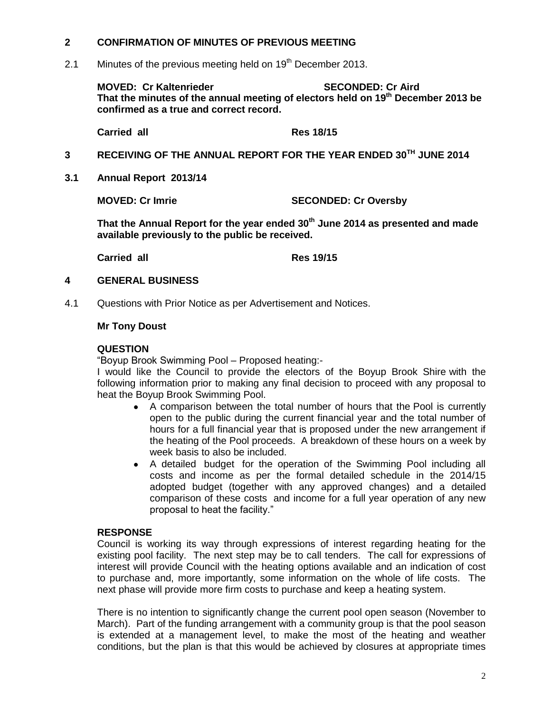# **2 CONFIRMATION OF MINUTES OF PREVIOUS MEETING**

2.1 Minutes of the previous meeting held on  $19<sup>th</sup>$  December 2013.

**MOVED: Cr Kaltenrieder SECONDED: Cr Aird That the minutes of the annual meeting of electors held on 19 th December 2013 be confirmed as a true and correct record.**

**Carried all Res 18/15**

# **3 RECEIVING OF THE ANNUAL REPORT FOR THE YEAR ENDED 30TH JUNE 2014**

**3.1 Annual Report 2013/14**

**MOVED: Cr Imrie SECONDED: Cr Oversby**

**That the Annual Report for the year ended 30th June 2014 as presented and made available previously to the public be received.**

**Carried all Res 19/15**

#### **4 GENERAL BUSINESS**

4.1 Questions with Prior Notice as per Advertisement and Notices.

#### **Mr Tony Doust**

#### **QUESTION**

"Boyup Brook Swimming Pool – Proposed heating:-

I would like the Council to provide the electors of the Boyup Brook Shire with the following information prior to making any final decision to proceed with any proposal to heat the Boyup Brook Swimming Pool.

- A comparison between the total number of hours that the Pool is currently open to the public during the current financial year and the total number of hours for a full financial year that is proposed under the new arrangement if the heating of the Pool proceeds. A breakdown of these hours on a week by week basis to also be included.
- A detailed budget for the operation of the Swimming Pool including all costs and income as per the formal detailed schedule in the 2014/15 adopted budget (together with any approved changes) and a detailed comparison of these costs and income for a full year operation of any new proposal to heat the facility."

# **RESPONSE**

Council is working its way through expressions of interest regarding heating for the existing pool facility. The next step may be to call tenders. The call for expressions of interest will provide Council with the heating options available and an indication of cost to purchase and, more importantly, some information on the whole of life costs. The next phase will provide more firm costs to purchase and keep a heating system.

There is no intention to significantly change the current pool open season (November to March). Part of the funding arrangement with a community group is that the pool season is extended at a management level, to make the most of the heating and weather conditions, but the plan is that this would be achieved by closures at appropriate times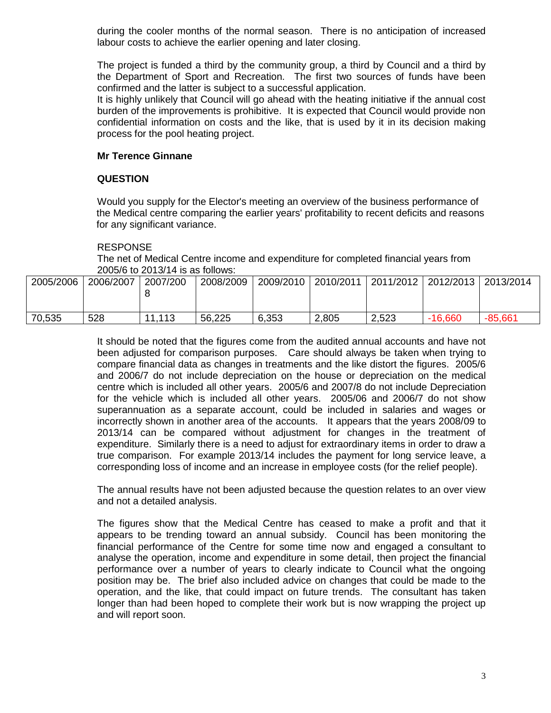during the cooler months of the normal season. There is no anticipation of increased labour costs to achieve the earlier opening and later closing.

The project is funded a third by the community group, a third by Council and a third by the Department of Sport and Recreation. The first two sources of funds have been confirmed and the latter is subject to a successful application.

It is highly unlikely that Council will go ahead with the heating initiative if the annual cost burden of the improvements is prohibitive. It is expected that Council would provide non confidential information on costs and the like, that is used by it in its decision making process for the pool heating project.

## **Mr Terence Ginnane**

#### **QUESTION**

Would you supply for the Elector's meeting an overview of the business performance of the Medical centre comparing the earlier years' profitability to recent deficits and reasons for any significant variance.

#### RESPONSE

The net of Medical Centre income and expenditure for completed financial years from 2005/6 to 2013/14 is as follows:

| 2005/2006 | 2006/2007 | 2007/200 | 2008/2009 | 2009/2010 | 2010/2011 | 2011/2012 | 2012/2013 | 2013/2014 |
|-----------|-----------|----------|-----------|-----------|-----------|-----------|-----------|-----------|
| 70,535    | 528       | 11,113   | 56,225    | 6,353     | 2,805     | 2,523     | $-16,660$ | $-85,661$ |

It should be noted that the figures come from the audited annual accounts and have not been adjusted for comparison purposes. Care should always be taken when trying to compare financial data as changes in treatments and the like distort the figures. 2005/6 and 2006/7 do not include depreciation on the house or depreciation on the medical centre which is included all other years. 2005/6 and 2007/8 do not include Depreciation for the vehicle which is included all other years. 2005/06 and 2006/7 do not show superannuation as a separate account, could be included in salaries and wages or incorrectly shown in another area of the accounts. It appears that the years 2008/09 to 2013/14 can be compared without adjustment for changes in the treatment of expenditure. Similarly there is a need to adjust for extraordinary items in order to draw a true comparison. For example 2013/14 includes the payment for long service leave, a corresponding loss of income and an increase in employee costs (for the relief people).

The annual results have not been adjusted because the question relates to an over view and not a detailed analysis.

The figures show that the Medical Centre has ceased to make a profit and that it appears to be trending toward an annual subsidy. Council has been monitoring the financial performance of the Centre for some time now and engaged a consultant to analyse the operation, income and expenditure in some detail, then project the financial performance over a number of years to clearly indicate to Council what the ongoing position may be. The brief also included advice on changes that could be made to the operation, and the like, that could impact on future trends. The consultant has taken longer than had been hoped to complete their work but is now wrapping the project up and will report soon.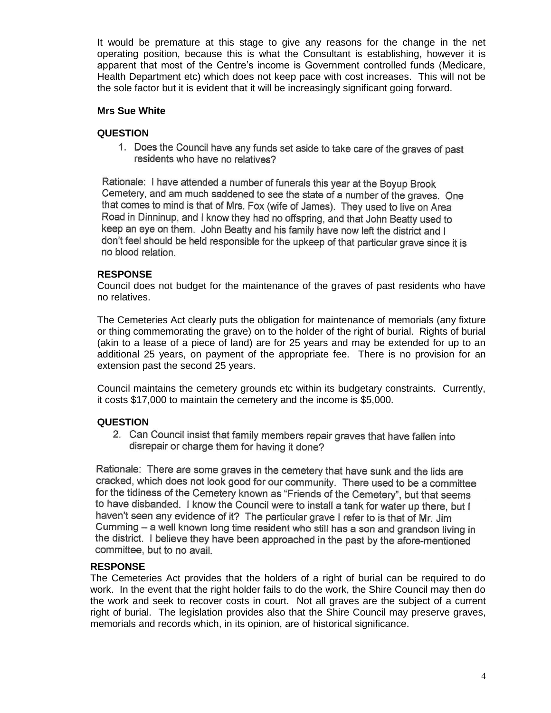It would be premature at this stage to give any reasons for the change in the net operating position, because this is what the Consultant is establishing, however it is apparent that most of the Centre's income is Government controlled funds (Medicare, Health Department etc) which does not keep pace with cost increases. This will not be the sole factor but it is evident that it will be increasingly significant going forward.

## **Mrs Sue White**

#### **QUESTION**

1. Does the Council have any funds set aside to take care of the graves of past residents who have no relatives?

Rationale: I have attended a number of funerals this year at the Boyup Brook Cemetery, and am much saddened to see the state of a number of the graves. One that comes to mind is that of Mrs. Fox (wife of James). They used to live on Area Road in Dinninup, and I know they had no offspring, and that John Beatty used to keep an eye on them. John Beatty and his family have now left the district and I don't feel should be held responsible for the upkeep of that particular grave since it is no blood relation.

#### **RESPONSE**

Council does not budget for the maintenance of the graves of past residents who have no relatives.

The Cemeteries Act clearly puts the obligation for maintenance of memorials (any fixture or thing commemorating the grave) on to the holder of the right of burial. Rights of burial (akin to a lease of a piece of land) are for 25 years and may be extended for up to an additional 25 years, on payment of the appropriate fee. There is no provision for an extension past the second 25 years.

Council maintains the cemetery grounds etc within its budgetary constraints. Currently, it costs \$17,000 to maintain the cemetery and the income is \$5,000.

#### **QUESTION**

2. Can Council insist that family members repair graves that have fallen into disrepair or charge them for having it done?

Rationale: There are some graves in the cemetery that have sunk and the lids are cracked, which does not look good for our community. There used to be a committee for the tidiness of the Cemetery known as "Friends of the Cemetery", but that seems to have disbanded. I know the Council were to install a tank for water up there, but I haven't seen any evidence of it? The particular grave I refer to is that of Mr. Jim Cumming - a well known long time resident who still has a son and grandson living in the district. I believe they have been approached in the past by the afore-mentioned committee, but to no avail.

#### **RESPONSE**

The Cemeteries Act provides that the holders of a right of burial can be required to do work. In the event that the right holder fails to do the work, the Shire Council may then do the work and seek to recover costs in court. Not all graves are the subject of a current right of burial. The legislation provides also that the Shire Council may preserve graves, memorials and records which, in its opinion, are of historical significance.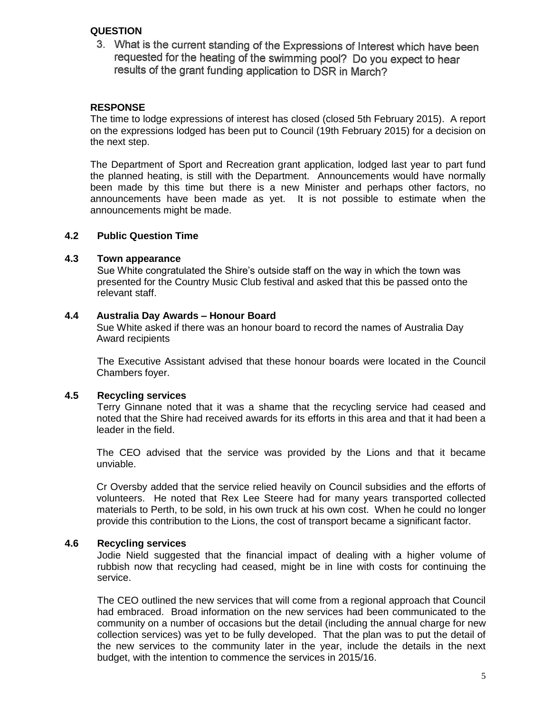# **QUESTION**

3. What is the current standing of the Expressions of Interest which have been requested for the heating of the swimming pool? Do you expect to hear results of the grant funding application to DSR in March?

# **RESPONSE**

The time to lodge expressions of interest has closed (closed 5th February 2015). A report on the expressions lodged has been put to Council (19th February 2015) for a decision on the next step.

The Department of Sport and Recreation grant application, lodged last year to part fund the planned heating, is still with the Department. Announcements would have normally been made by this time but there is a new Minister and perhaps other factors, no announcements have been made as yet. It is not possible to estimate when the announcements might be made.

#### **4.2 Public Question Time**

#### **4.3 Town appearance**

Sue White congratulated the Shire's outside staff on the way in which the town was presented for the Country Music Club festival and asked that this be passed onto the relevant staff.

#### **4.4 Australia Day Awards – Honour Board**

Sue White asked if there was an honour board to record the names of Australia Day Award recipients

The Executive Assistant advised that these honour boards were located in the Council Chambers foyer.

# **4.5 Recycling services**

Terry Ginnane noted that it was a shame that the recycling service had ceased and noted that the Shire had received awards for its efforts in this area and that it had been a leader in the field.

The CEO advised that the service was provided by the Lions and that it became unviable.

Cr Oversby added that the service relied heavily on Council subsidies and the efforts of volunteers. He noted that Rex Lee Steere had for many years transported collected materials to Perth, to be sold, in his own truck at his own cost. When he could no longer provide this contribution to the Lions, the cost of transport became a significant factor.

# **4.6 Recycling services**

Jodie Nield suggested that the financial impact of dealing with a higher volume of rubbish now that recycling had ceased, might be in line with costs for continuing the service.

The CEO outlined the new services that will come from a regional approach that Council had embraced. Broad information on the new services had been communicated to the community on a number of occasions but the detail (including the annual charge for new collection services) was yet to be fully developed. That the plan was to put the detail of the new services to the community later in the year, include the details in the next budget, with the intention to commence the services in 2015/16.